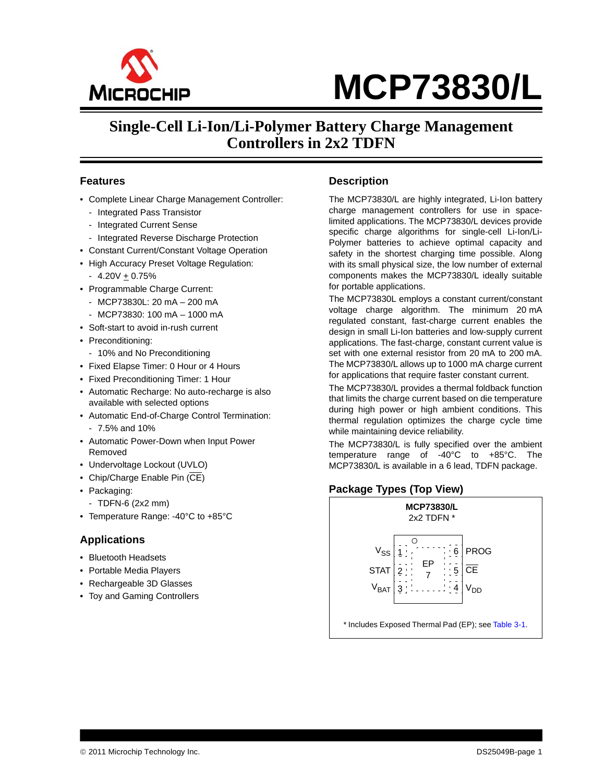

# **Single-Cell Li-Ion/Li-Polymer Battery Charge Management Controllers in 2x2 TDFN**

#### **Features**

- Complete Linear Charge Management Controller:
	- Integrated Pass Transistor
	- Integrated Current Sense
	- Integrated Reverse Discharge Protection
- Constant Current/Constant Voltage Operation
- High Accuracy Preset Voltage Regulation:
	- $-4.20V + 0.75%$
- Programmable Charge Current:
	- MCP73830L: 20 mA 200 mA
	- MCP73830: 100 mA 1000 mA
- Soft-start to avoid in-rush current
- Preconditioning:
- 10% and No Preconditioning
- Fixed Elapse Timer: 0 Hour or 4 Hours
- Fixed Preconditioning Timer: 1 Hour
- Automatic Recharge: No auto-recharge is also available with selected options
- Automatic End-of-Charge Control Termination:
	- 7.5% and 10%
- Automatic Power-Down when Input Power Removed
- Undervoltage Lockout (UVLO)
- Chip/Charge Enable Pin  $(\overline{\text{CE}})$
- Packaging:
- TDFN-6 (2x2 mm)
- Temperature Range: -40°C to +85°C

#### **Applications**

- Bluetooth Headsets
- Portable Media Players
- Rechargeable 3D Glasses
- Toy and Gaming Controllers

#### **Description**

The MCP73830/L are highly integrated, Li-Ion battery charge management controllers for use in spacelimited applications. The MCP73830/L devices provide specific charge algorithms for single-cell Li-Ion/Li-Polymer batteries to achieve optimal capacity and safety in the shortest charging time possible. Along with its small physical size, the low number of external components makes the MCP73830/L ideally suitable for portable applications.

The MCP73830L employs a constant current/constant voltage charge algorithm. The minimum 20 mA regulated constant, fast-charge current enables the design in small Li-Ion batteries and low-supply current applications. The fast-charge, constant current value is set with one external resistor from 20 mA to 200 mA. The MCP73830/L allows up to 1000 mA charge current for applications that require faster constant current.

The MCP73830/L provides a thermal foldback function that limits the charge current based on die temperature during high power or high ambient conditions. This thermal regulation optimizes the charge cycle time while maintaining device reliability.

The MCP73830/L is fully specified over the ambient temperature range of -40°C to +85°C. The MCP73830/L is available in a 6 lead, TDFN package.

#### **Package Types (Top View)**

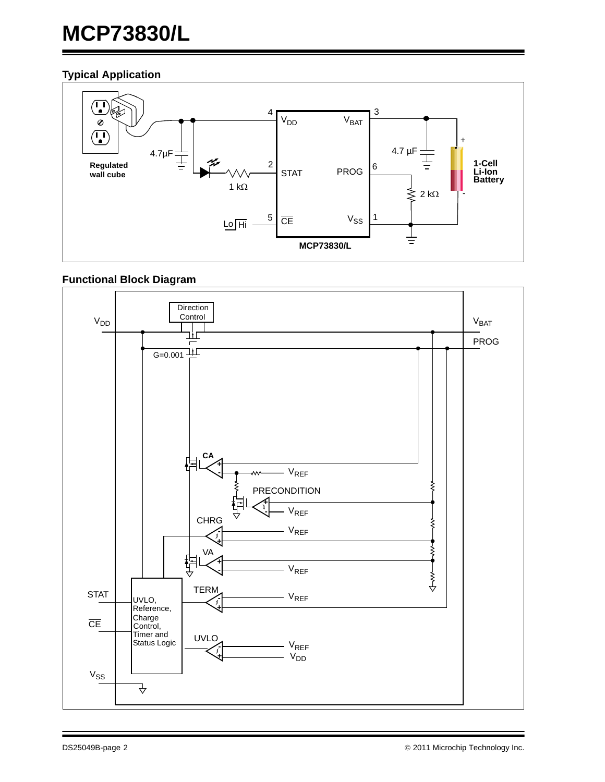### **Typical Application**



### **Functional Block Diagram**

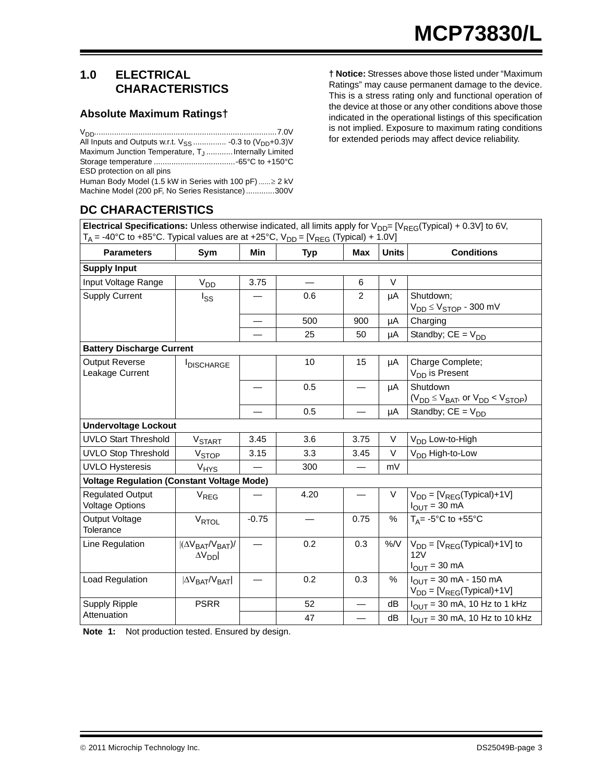### <span id="page-2-1"></span>**1.0 ELECTRICAL CHARACTERISTICS**

#### **Absolute Maximum Ratings†**

| All Inputs and Outputs w.r.t. $V_{SS}$ -0.3 to $(V_{DD}+0.3)V$   |  |
|------------------------------------------------------------------|--|
| Maximum Junction Temperature, T <sub>.J</sub> Internally Limited |  |
|                                                                  |  |
| ESD protection on all pins                                       |  |
| Human Body Model (1.5 kW in Series with 100 pF) ≥ 2 kV           |  |

Machine Model (200 pF, No Series Resistance).............300V

#### **† Notice:** Stresses above those listed under "Maximum Ratings" may cause permanent damage to the device. This is a stress rating only and functional operation of the device at those or any other conditions above those indicated in the operational listings of this specification is not implied. Exposure to maximum rating conditions for extended periods may affect device reliability.

# **DC CHARACTERISTICS**

**Electrical Specifications:** Unless otherwise indicated, all limits apply for  $V_{DD}$ = [V<sub>REG</sub>(Typical) + 0.3V] to 6V,  $T_A$  = -40°C to +85°C. Typical values are at +25°C,  $V_{DD}$  = [V<sub>REG</sub> (Typical) + 1.0V]

| <b>Parameters</b>                                 | Sym                                                    | <b>Min</b> | <b>Typ</b> | Max                      | <b>Units</b>  | <b>Conditions</b>                                                |
|---------------------------------------------------|--------------------------------------------------------|------------|------------|--------------------------|---------------|------------------------------------------------------------------|
| <b>Supply Input</b>                               |                                                        |            |            |                          |               |                                                                  |
| Input Voltage Range                               | V <sub>DD</sub>                                        | 3.75       |            | 6                        | $\vee$        |                                                                  |
| <b>Supply Current</b>                             | l <sub>SS</sub>                                        |            | 0.6        | $\overline{2}$           | μA            | Shutdown:                                                        |
|                                                   |                                                        |            |            |                          |               | $V_{DD} \leq V_{STOP}$ - 300 mV                                  |
|                                                   |                                                        |            | 500        | 900                      | μA            | Charging                                                         |
|                                                   |                                                        |            | 25         | 50                       | μA            | Standby; $CE = V_{DD}$                                           |
| <b>Battery Discharge Current</b>                  |                                                        |            |            |                          |               |                                                                  |
| <b>Output Reverse</b>                             | <b>IDISCHARGE</b>                                      |            | 10         | 15                       | μA            | Charge Complete;                                                 |
| Leakage Current                                   |                                                        |            |            |                          |               | V <sub>DD</sub> is Present                                       |
|                                                   |                                                        |            | 0.5        |                          | μA            | Shutdown                                                         |
|                                                   |                                                        |            |            |                          |               | $(V_{DD} \leq V_{BAT}$ , or $V_{DD} < V_{STOP})$                 |
|                                                   |                                                        |            | 0.5        |                          | μA            | Standby; $CE = V_{DD}$                                           |
| <b>Undervoltage Lockout</b>                       |                                                        |            |            |                          |               |                                                                  |
| <b>UVLO Start Threshold</b>                       | <b>V<sub>START</sub></b>                               | 3.45       | 3.6        | 3.75                     | V             | V <sub>DD</sub> Low-to-High                                      |
| <b>UVLO Stop Threshold</b>                        | V <sub>STOP</sub>                                      | 3.15       | 3.3        | 3.45                     | V             | V <sub>DD</sub> High-to-Low                                      |
| <b>UVLO Hysteresis</b>                            | <b>V<sub>HYS</sub></b>                                 |            | 300        |                          | mV            |                                                                  |
| <b>Voltage Regulation (Constant Voltage Mode)</b> |                                                        |            |            |                          |               |                                                                  |
| <b>Regulated Output</b><br><b>Voltage Options</b> | V <sub>REG</sub>                                       |            | 4.20       |                          | V             | $V_{DD} = [V_{REG}(Typical) + 1V]$<br>$I_{OUT} = 30$ mA          |
| Output Voltage<br>Tolerance                       | VRTOL                                                  | $-0.75$    |            | 0.75                     | $\frac{0}{0}$ | $T_A = -5^\circ \text{C}$ to $+55^\circ \text{C}$                |
| Line Regulation                                   | $ (\Delta V_{BAT}/V_{BAT}) $<br>$\Delta V_{\text{DD}}$ |            | 0.2        | 0.3                      | %N            | $V_{DD} = [V_{REG}(Typical) + 1V]$ to<br>12V                     |
|                                                   |                                                        |            |            |                          |               | $I_{OUT} = 30$ mA                                                |
| Load Regulation                                   | $ \Delta V_{BAT}/V_{BAT} $                             |            | 0.2        | 0.3                      | %             | $I_{OUT}$ = 30 mA - 150 mA<br>$V_{DD} = [V_{REG}(Typical) + 1V]$ |
| <b>Supply Ripple</b>                              | <b>PSRR</b>                                            |            | 52         |                          | dB            | $I_{\text{OUT}}$ = 30 mA, 10 Hz to 1 kHz                         |
| Attenuation                                       |                                                        |            | 47         | $\overline{\phantom{0}}$ | dB            | $IOUT$ = 30 mA, 10 Hz to 10 kHz                                  |

<span id="page-2-0"></span>**Note 1:** Not production tested. Ensured by design.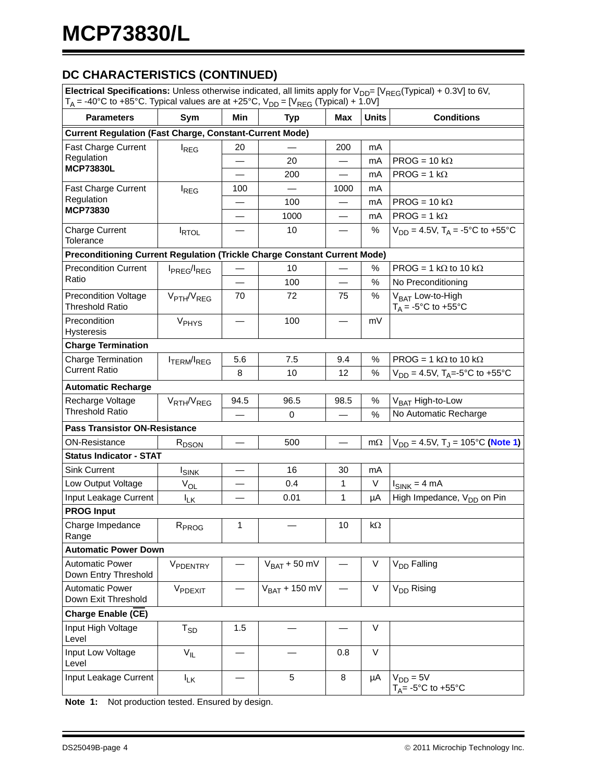# **DC CHARACTERISTICS (CONTINUED)**

| Electrical Specifications: Unless otherwise indicated, all limits apply for $V_{DD} = [V_{REG}(Typical) + 0.3V]$ to 6V,<br>$T_A$ = -40°C to +85°C. Typical values are at +25°C, $V_{DD}$ = [ $V_{REG}$ (Typical) + 1.0V] |                                     |                          |                    |                          |              |                                                        |  |
|--------------------------------------------------------------------------------------------------------------------------------------------------------------------------------------------------------------------------|-------------------------------------|--------------------------|--------------------|--------------------------|--------------|--------------------------------------------------------|--|
| <b>Parameters</b>                                                                                                                                                                                                        | Sym                                 | Min                      | <b>Typ</b>         | <b>Max</b>               | <b>Units</b> | <b>Conditions</b>                                      |  |
| <b>Current Regulation (Fast Charge, Constant-Current Mode)</b>                                                                                                                                                           |                                     |                          |                    |                          |              |                                                        |  |
| Fast Charge Current                                                                                                                                                                                                      | <b>REG</b>                          | 20                       |                    | 200                      | mA           |                                                        |  |
| Regulation<br><b>MCP73830L</b>                                                                                                                                                                                           |                                     |                          | 20                 |                          | mA           | $PROG = 10 k\Omega$                                    |  |
|                                                                                                                                                                                                                          |                                     |                          | 200                |                          | mA           | $PROG = 1 k\Omega$                                     |  |
| <b>Fast Charge Current</b>                                                                                                                                                                                               | <b>I</b> REG                        | 100                      |                    | 1000                     | mA           |                                                        |  |
| Regulation<br><b>MCP73830</b>                                                                                                                                                                                            |                                     |                          | 100                |                          | mA           | PROG = $10 k\Omega$                                    |  |
|                                                                                                                                                                                                                          |                                     | $\overline{\phantom{0}}$ | 1000               |                          | mA           | $PROG = 1 k\Omega$                                     |  |
| <b>Charge Current</b><br>Tolerance                                                                                                                                                                                       | <b>IRTOL</b>                        |                          | 10                 | $\overline{\phantom{0}}$ | $\%$         | $V_{DD} = 4.5V$ , T <sub>A</sub> = -5°C to +55°C       |  |
| Preconditioning Current Regulation (Trickle Charge Constant Current Mode)                                                                                                                                                |                                     |                          |                    |                          |              |                                                        |  |
| <b>Precondition Current</b>                                                                                                                                                                                              | I <sub>PREG</sub> /I <sub>REG</sub> |                          | 10                 |                          | $\%$         | PROG = 1 k $\Omega$ to 10 k $\Omega$                   |  |
| Ratio                                                                                                                                                                                                                    |                                     |                          | 100                |                          | $\%$         | No Preconditioning                                     |  |
| <b>Precondition Voltage</b><br><b>Threshold Ratio</b>                                                                                                                                                                    | V <sub>PTH</sub> /V <sub>REG</sub>  | 70                       | 72                 | 75                       | $\%$         | V <sub>BAT</sub> Low-to-High<br>$T_A = -5$ °C to +55°C |  |
| Precondition<br>Hysteresis                                                                                                                                                                                               | V <sub>PHYS</sub>                   |                          | 100                |                          | mV           |                                                        |  |
| <b>Charge Termination</b>                                                                                                                                                                                                |                                     |                          |                    |                          |              |                                                        |  |
| Charge Termination                                                                                                                                                                                                       | <b>ITERM/IREG</b>                   | 5.6                      | 7.5                | 9.4                      | $\%$         | PROG = 1 k $\Omega$ to 10 k $\Omega$                   |  |
| <b>Current Ratio</b>                                                                                                                                                                                                     |                                     | 8                        | 10                 | 12                       | %            | $V_{DD} = 4.5V$ , T <sub>A</sub> =-5°C to +55°C        |  |
| <b>Automatic Recharge</b>                                                                                                                                                                                                |                                     |                          |                    |                          |              |                                                        |  |
| Recharge Voltage                                                                                                                                                                                                         | V <sub>RTH</sub> /V <sub>REG</sub>  | 94.5                     | 96.5               | 98.5                     | $\%$         | V <sub>BAT</sub> High-to-Low                           |  |
| <b>Threshold Ratio</b>                                                                                                                                                                                                   |                                     |                          | 0                  |                          | %            | No Automatic Recharge                                  |  |
| <b>Pass Transistor ON-Resistance</b>                                                                                                                                                                                     |                                     |                          |                    |                          |              |                                                        |  |
| <b>ON-Resistance</b>                                                                                                                                                                                                     | R <sub>DSON</sub>                   |                          | 500                | $\overline{\phantom{0}}$ | $m\Omega$    | $V_{DD} = 4.5V$ , T <sub>J</sub> = 105°C (Note 1)      |  |
| <b>Status Indicator - STAT</b>                                                                                                                                                                                           |                                     |                          |                    |                          |              |                                                        |  |
| Sink Current                                                                                                                                                                                                             | <b>I</b> SINK                       |                          | 16                 | 30                       | mA           |                                                        |  |
| Low Output Voltage                                                                                                                                                                                                       | $V_{OL}$                            |                          | 0.4                | $\mathbf{1}$             | $\vee$       | $I_{SINK} = 4 mA$                                      |  |
| Input Leakage Current                                                                                                                                                                                                    | $I_{LK}$                            |                          | 0.01               | 1                        | μA           | High Impedance, V <sub>DD</sub> on Pin                 |  |
| <b>PROG Input</b>                                                                                                                                                                                                        |                                     |                          |                    |                          |              |                                                        |  |
| Charge Impedance<br>Range                                                                                                                                                                                                | R <sub>PROG</sub>                   | 1                        |                    | 10                       | kΩ           |                                                        |  |
| <b>Automatic Power Down</b>                                                                                                                                                                                              |                                     |                          |                    |                          |              |                                                        |  |
| <b>Automatic Power</b><br>Down Entry Threshold                                                                                                                                                                           | VPDENTRY                            |                          | $V_{BAT} + 50$ mV  |                          | $\vee$       | V <sub>DD</sub> Falling                                |  |
| <b>Automatic Power</b><br>Down Exit Threshold                                                                                                                                                                            | VPDEXIT                             |                          | $V_{BAT}$ + 150 mV |                          | V            | V <sub>DD</sub> Rising                                 |  |
| <b>Charge Enable (CE)</b>                                                                                                                                                                                                |                                     |                          |                    |                          |              |                                                        |  |
| Input High Voltage<br>Level                                                                                                                                                                                              | $T_{SD}$                            | 1.5                      |                    |                          | $\vee$       |                                                        |  |
| Input Low Voltage<br>Level                                                                                                                                                                                               | $V_{IL}$                            |                          |                    | 0.8                      | $\vee$       |                                                        |  |
| Input Leakage Current                                                                                                                                                                                                    | $I_{LK}$                            |                          | 5                  | 8                        | μA           | $V_{DD} = 5V$<br>$T_A$ = -5°C to +55°C                 |  |

**Note 1:** Not production tested. Ensured by design.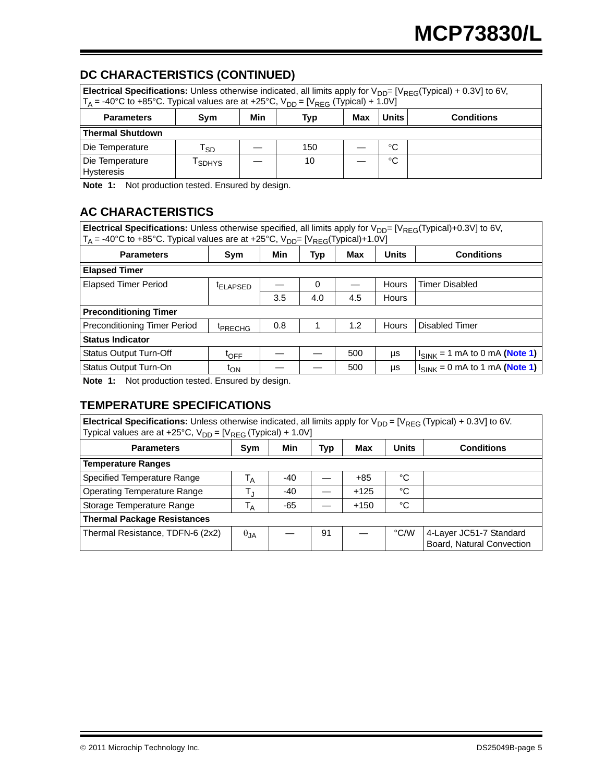# **DC CHARACTERISTICS (CONTINUED)**

| Electrical Specifications: Unless otherwise indicated, all limits apply for $V_{DD} = [V_{REG}(Typical) + 0.3V]$ to 6V,<br>$T_A$ = -40°C to +85°C. Typical values are at +25°C, $V_{DD}$ = [ $V_{REG}$ (Typical) + 1.0V] |              |     |            |     |       |                   |
|--------------------------------------------------------------------------------------------------------------------------------------------------------------------------------------------------------------------------|--------------|-----|------------|-----|-------|-------------------|
| <b>Parameters</b>                                                                                                                                                                                                        | Svm          | Min | <b>Typ</b> | Max | Units | <b>Conditions</b> |
| <b>Thermal Shutdown</b>                                                                                                                                                                                                  |              |     |            |     |       |                   |
| Die Temperature                                                                                                                                                                                                          | Гsр          |     | 150        |     | °C    |                   |
| Die Temperature<br><b>Hysteresis</b>                                                                                                                                                                                     | <b>SDHYS</b> |     | 10         |     | °C    |                   |

**Note 1:** Not production tested. Ensured by design.

# **AC CHARACTERISTICS**

**Electrical Specifications:** Unless otherwise specified, all limits apply for V<sub>DD</sub>= [V<sub>REG</sub>(Typical)+0.3V] to 6V,  $T_A$  = -40°C to +85°C. Typical values are at +25°C, V<sub>DD</sub>= [V<sub>REG</sub>(Typical)+1.0V]

| <b>Parameters</b>                               | Sym                  | Min | Typ | Max | <b>Units</b> | <b>Conditions</b>                  |
|-------------------------------------------------|----------------------|-----|-----|-----|--------------|------------------------------------|
| <b>Elapsed Timer</b>                            |                      |     |     |     |              |                                    |
| <b>Elapsed Timer Period</b>                     | <sup>t</sup> ELAPSED |     | 0   |     | <b>Hours</b> | <b>Timer Disabled</b>              |
|                                                 |                      | 3.5 | 4.0 | 4.5 | Hours        |                                    |
| <b>Preconditioning Timer</b>                    |                      |     |     |     |              |                                    |
| Preconditioning Timer Period                    | <sup>T</sup> PRECHG  | 0.8 |     | 1.2 | <b>Hours</b> | Disabled Timer                     |
| <b>Status Indicator</b>                         |                      |     |     |     |              |                                    |
| <b>Status Output Turn-Off</b>                   | $t_{\text{OFF}}$     |     |     | 500 | μs           | $I_{SINK}$ = 1 mA to 0 mA (Note 1) |
| Status Output Turn-On                           | t <sub>ON</sub>      |     |     | 500 | μs           | $I_{SINK} = 0$ mA to 1 mA (Note 1) |
| Nata 4. Not production tooted Engurad by decian |                      |     |     |     |              |                                    |

<span id="page-4-0"></span>**Note 1:** Not production tested. Ensured by design.

### **TEMPERATURE SPECIFICATIONS**

| <b>Electrical Specifications:</b> Unless otherwise indicated, all limits apply for $V_{DD} = [V_{REG}(Typical) + 0.3V]$ to 6V.<br>Typical values are at +25°C, $V_{DD} = [V_{REG} (Typical) + 1.0V]$ |                           |       |     |        |              |                                                      |  |
|------------------------------------------------------------------------------------------------------------------------------------------------------------------------------------------------------|---------------------------|-------|-----|--------|--------------|------------------------------------------------------|--|
| <b>Parameters</b>                                                                                                                                                                                    | Sym                       | Min   | Typ | Max    | <b>Units</b> | <b>Conditions</b>                                    |  |
| <b>Temperature Ranges</b>                                                                                                                                                                            |                           |       |     |        |              |                                                      |  |
| Specified Temperature Range                                                                                                                                                                          | Т <sub>А</sub>            | -40   |     | $+85$  | °C           |                                                      |  |
| <b>Operating Temperature Range</b>                                                                                                                                                                   | $\mathsf{T}_{\mathsf{J}}$ | -40   |     | $+125$ | °C           |                                                      |  |
| Storage Temperature Range                                                                                                                                                                            | $\mathsf{T}_\mathsf{A}$   | $-65$ |     | $+150$ | °C           |                                                      |  |
| <b>Thermal Package Resistances</b>                                                                                                                                                                   |                           |       |     |        |              |                                                      |  |
| Thermal Resistance, TDFN-6 (2x2)                                                                                                                                                                     | $\theta_{JA}$             |       | 91  |        | °C/W         | 4-Layer JC51-7 Standard<br>Board, Natural Convection |  |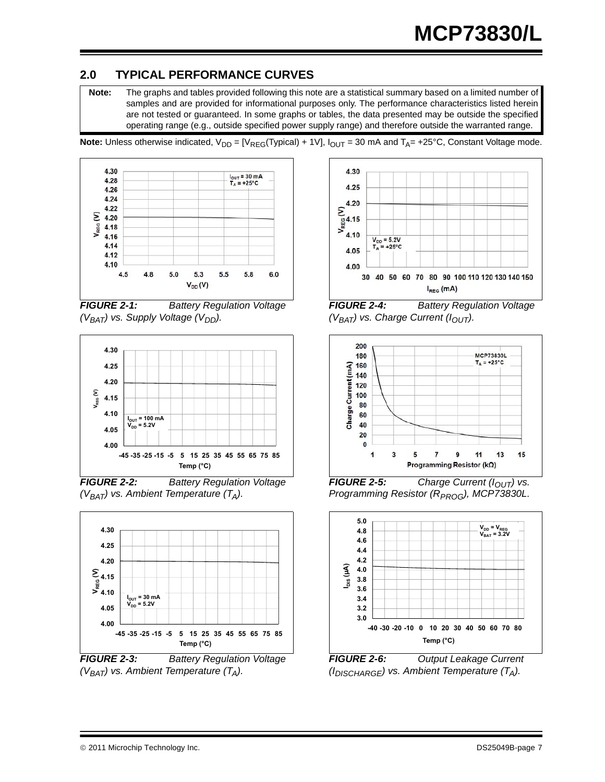# **2.0 TYPICAL PERFORMANCE CURVES**

**Note:** The graphs and tables provided following this note are a statistical summary based on a limited number of samples and are provided for informational purposes only. The performance characteristics listed herein are not tested or guaranteed. In some graphs or tables, the data presented may be outside the specified operating range (e.g., outside specified power supply range) and therefore outside the warranted range.

**Note:** Unless otherwise indicated,  $V_{DD} = [V_{REG}(Typical) + 1V]$ ,  $I_{OUT} = 30$  mA and  $T_A = +25$ °C, Constant Voltage mode.



*FIGURE 2-1: Battery Regulation Voltage (V<sub>BAT</sub>)* vs. Supply Voltage (V<sub>DD</sub>).



*FIGURE 2-2: Battery Regulation Voltage*   $(V_{BAT})$  vs. Ambient Temperature  $(T_A)$ .



*(VBAT) vs. Ambient Temperature (TA).*



*FIGURE 2-4: Battery Regulation Voltage*   $(V_{BAT})$  vs. Charge Current  $(I_{OUT})$ .



*FIGURE 2-5: Charge Current (I<sub>OUT</sub>) vs. Programming Resistor (R<sub>PROG</sub>), MCP73830L.* 



*FIGURE 2-6: Output Leakage Current (IDISCHARGE) vs. Ambient Temperature (TA).*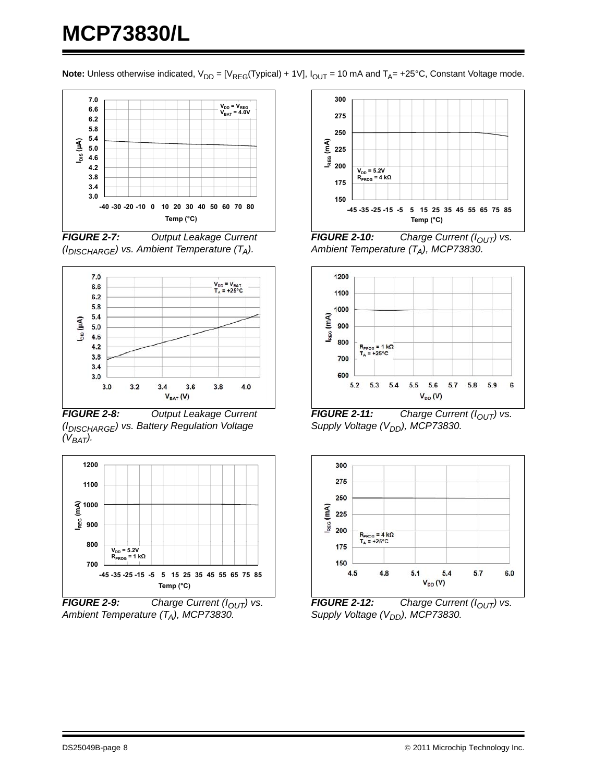**Note:** Unless otherwise indicated,  $V_{DD} = [V_{REG}(Typical) + 1V]$ ,  $I_{OUT} = 10$  mA and  $T_A = +25$ °C, Constant Voltage mode.



*FIGURE 2-7: Output Leakage Current (IDISCHARGE) vs. Ambient Temperature (TA).*



*FIGURE 2-8: Output Leakage Current (IDISCHARGE) vs. Battery Regulation Voltage*   $(V_{BAT})$ .



**FIGURE 2-9:** Charge Current ( $I_{OUT}$ ) vs. *Ambient Temperature (TA), MCP73830.*



**FIGURE 2-10:** Charge Current ( $I_{OUT}$ ) vs. *Ambient Temperature (TA), MCP73830.*



*FIGURE 2-11: Charge Current (I<sub>OUT</sub>) vs. Supply Voltage (V<sub>DD</sub>), MCP73830.* 



**FIGURE 2-12:** Charge Current ( $I_{OUT}$ ) vs. *Supply Voltage (V<sub>DD</sub>), MCP73830.*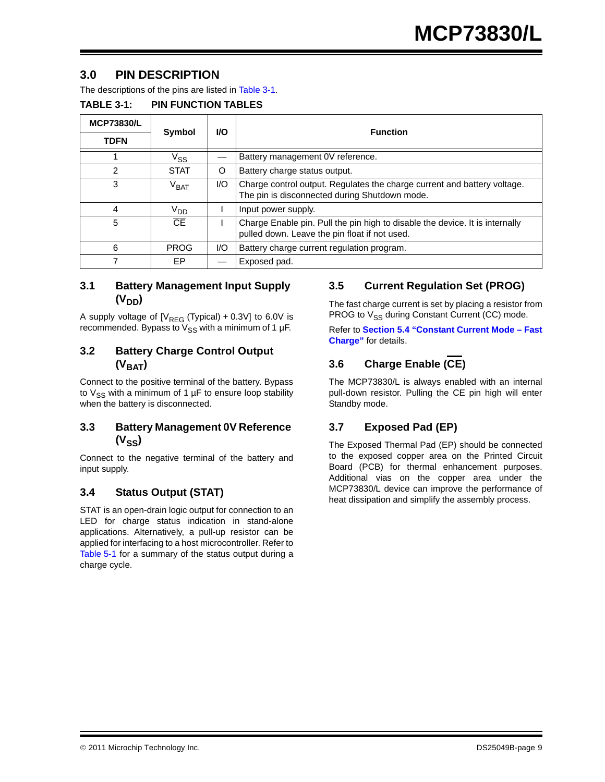### **3.0 PIN DESCRIPTION**

The descriptions of the pins are listed in [Table 3-1.](#page-8-0)

<span id="page-8-0"></span>

| <b>TABLE 3-1:</b> | <b>PIN FUNCTION TABLES</b> |
|-------------------|----------------------------|
|-------------------|----------------------------|

| <b>MCP73830/L</b> |                 |           | <b>Function</b>                                                                                                               |
|-------------------|-----------------|-----------|-------------------------------------------------------------------------------------------------------------------------------|
| <b>TDFN</b>       | <b>Symbol</b>   | <b>VO</b> |                                                                                                                               |
|                   | Vss             |           | Battery management 0V reference.                                                                                              |
| 2                 | <b>STAT</b>     | O         | Battery charge status output.                                                                                                 |
| 3                 | $\rm{V_{BAT}}$  | 1/O       | Charge control output. Regulates the charge current and battery voltage.<br>The pin is disconnected during Shutdown mode.     |
| 4                 | V <sub>DD</sub> |           | Input power supply.                                                                                                           |
| 5                 | $\overline{CF}$ |           | Charge Enable pin. Pull the pin high to disable the device. It is internally<br>pulled down. Leave the pin float if not used. |
| 6                 | <b>PROG</b>     | 1/O       | Battery charge current regulation program.                                                                                    |
|                   | EP              |           | Exposed pad.                                                                                                                  |

#### **3.1 Battery Management Input Supply**  (V<sub>DD</sub>)

A supply voltage of  $[V_{RFG} (Typical) + 0.3V]$  to 6.0V is recommended. Bypass to  $V_{SS}$  with a minimum of 1 µF.

#### **3.2 Battery Charge Control Output**   $(V<sub>BAT</sub>)$

Connect to the positive terminal of the battery. Bypass to  $V_{SS}$  with a minimum of 1  $\mu$ F to ensure loop stability when the battery is disconnected.

#### **3.3 Battery Management 0V Reference**   $(V_{SS})$

Connect to the negative terminal of the battery and input supply.

### **3.4 Status Output (STAT)**

STAT is an open-drain logic output for connection to an LED for charge status indication in stand-alone applications. Alternatively, a pull-up resistor can be applied for interfacing to a host microcontroller. Refer to [Table 5-1](#page-14-0) for a summary of the status output during a charge cycle.

### **3.5 Current Regulation Set (PROG)**

The fast charge current is set by placing a resistor from PROG to  $V_{SS}$  during Constant Current (CC) mode.

Refer to **[Section 5.4 "Constant Current Mode – Fast](#page-13-0) [Charge"](#page-13-0)** for details.

# **3.6 Charge Enable (CE)**

The MCP73830/L is always enabled with an internal pull-down resistor. Pulling the CE pin high will enter Standby mode.

### **3.7 Exposed Pad (EP)**

The Exposed Thermal Pad (EP) should be connected to the exposed copper area on the Printed Circuit Board (PCB) for thermal enhancement purposes. Additional vias on the copper area under the MCP73830/L device can improve the performance of heat dissipation and simplify the assembly process.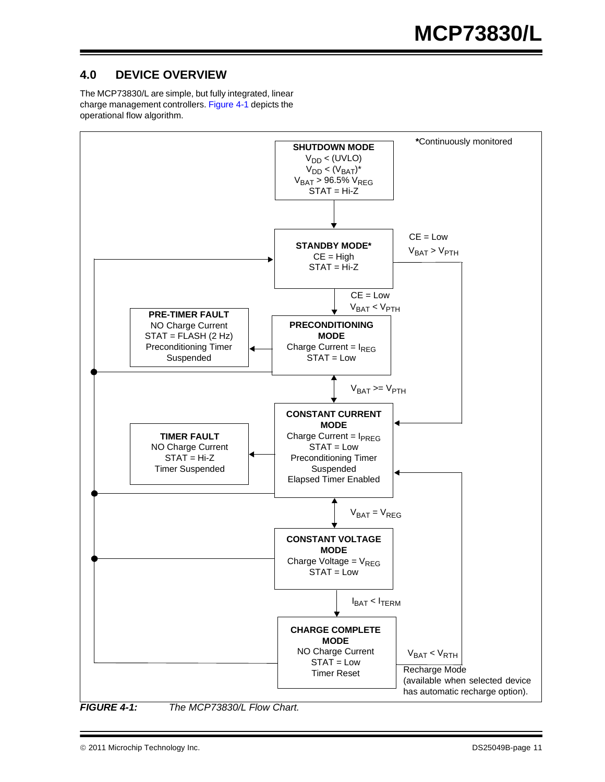# **4.0 DEVICE OVERVIEW**

The MCP73830/L are simple, but fully integrated, linear charge management controllers. [Figure 4-1](#page-10-0) depicts the operational flow algorithm.



<span id="page-10-1"></span>

<span id="page-10-0"></span>*FIGURE 4-1: The MCP73830/L Flow Chart.*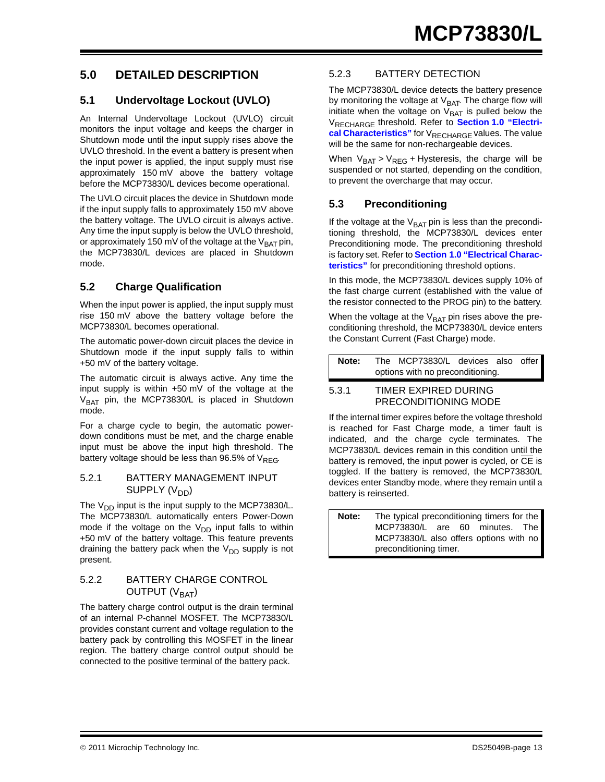### **5.0 DETAILED DESCRIPTION**

#### **5.1 Undervoltage Lockout (UVLO)**

An Internal Undervoltage Lockout (UVLO) circuit monitors the input voltage and keeps the charger in Shutdown mode until the input supply rises above the UVLO threshold. In the event a battery is present when the input power is applied, the input supply must rise approximately 150 mV above the battery voltage before the MCP73830/L devices become operational.

The UVLO circuit places the device in Shutdown mode if the input supply falls to approximately 150 mV above the battery voltage. The UVLO circuit is always active. Any time the input supply is below the UVLO threshold, or approximately 150 mV of the voltage at the  $V_{\text{BAT}}$  pin, the MCP73830/L devices are placed in Shutdown mode.

### **5.2 Charge Qualification**

When the input power is applied, the input supply must rise 150 mV above the battery voltage before the MCP73830/L becomes operational.

The automatic power-down circuit places the device in Shutdown mode if the input supply falls to within +50 mV of the battery voltage.

The automatic circuit is always active. Any time the input supply is within +50 mV of the voltage at the  $V_{BAT}$  pin, the MCP73830/L is placed in Shutdown mode.

For a charge cycle to begin, the automatic powerdown conditions must be met, and the charge enable input must be above the input high threshold. The battery voltage should be less than 96.5% of  $V_{REG}$ .

#### 5.2.1 BATTERY MANAGEMENT INPUT SUPPLY (V<sub>DD</sub>)

The  $V_{DD}$  input is the input supply to the MCP73830/L. The MCP73830/L automatically enters Power-Down mode if the voltage on the  $V_{DD}$  input falls to within +50 mV of the battery voltage. This feature prevents draining the battery pack when the  $V_{DD}$  supply is not present.

#### 5.2.2 BATTERY CHARGE CONTROL OUTPUT  $(V<sub>BAT</sub>)$

The battery charge control output is the drain terminal of an internal P-channel MOSFET. The MCP73830/L provides constant current and voltage regulation to the battery pack by controlling this MOSFET in the linear region. The battery charge control output should be connected to the positive terminal of the battery pack.

#### 5.2.3 BATTERY DETECTION

The MCP73830/L device detects the battery presence by monitoring the voltage at  $V<sub>BAT</sub>$ . The charge flow will initiate when the voltage on  $V_{BAT}$  is pulled below the V<sub>RECHARGE</sub> threshold. Refer to **[Section 1.0 "Electri](#page-2-1)**[cal Characteristics"](#page-2-1) for V<sub>RECHARGE</sub> values. The value will be the same for non-rechargeable devices.

When  $V_{BAT} > V_{REG}$  + Hysteresis, the charge will be suspended or not started, depending on the condition, to prevent the overcharge that may occur.

#### **5.3 Preconditioning**

If the voltage at the  $V_{BAT}$  pin is less than the preconditioning threshold, the MCP73830/L devices enter Preconditioning mode. The preconditioning threshold is factory set. Refer to **[Section 1.0 "Electrical Charac](#page-2-1)[teristics"](#page-2-1)** for preconditioning threshold options.

In this mode, the MCP73830/L devices supply 10% of the fast charge current (established with the value of the resistor connected to the PROG pin) to the battery.

When the voltage at the  $V_{BAT}$  pin rises above the preconditioning threshold, the MCP73830/L device enters the Constant Current (Fast Charge) mode.

| Note: | The MCP73830/L devices also offer |  |  |
|-------|-----------------------------------|--|--|
|       | options with no preconditioning.  |  |  |
| $  -$ | THIED EVOIDED DUDING              |  |  |

#### 5.3.1 TIMER EXPIRED DURING PRECONDITIONING MODE

If the internal timer expires before the voltage threshold is reached for Fast Charge mode, a timer fault is indicated, and the charge cycle terminates. The MCP73830/L devices remain in this condition until the battery is removed, the input power is cycled, or CE is toggled. If the battery is removed, the MCP73830/L devices enter Standby mode, where they remain until a battery is reinserted.

**Note:** The typical preconditioning timers for the MCP73830/L are 60 minutes. The MCP73830/L also offers options with no preconditioning timer.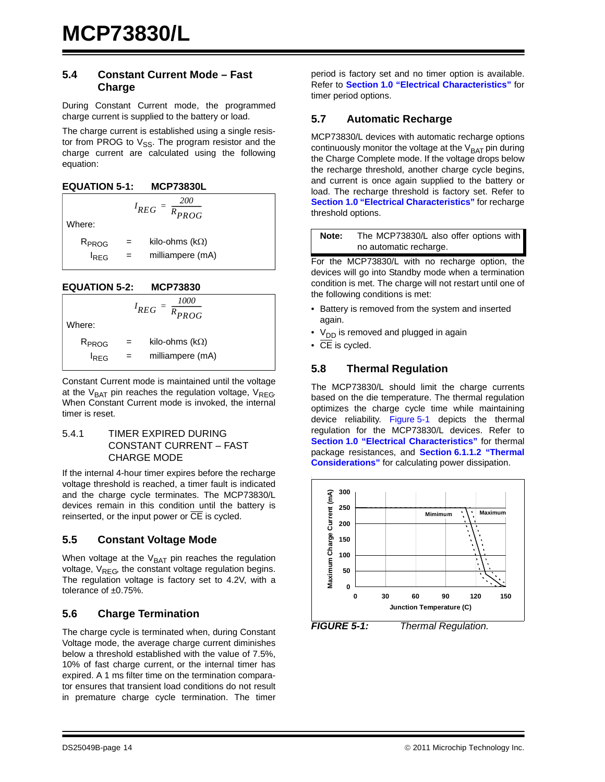#### <span id="page-13-0"></span>**5.4 Constant Current Mode – Fast Charge**

During Constant Current mode, the programmed charge current is supplied to the battery or load.

The charge current is established using a single resistor from PROG to  $V_{SS}$ . The program resistor and the charge current are calculated using the following equation:

> *200*  $=\frac{200}{R_{PROG}}$

| <b>EQUATION 5-1:</b> | <b>MCP73830L</b> |
|----------------------|------------------|
|                      |                  |

Where:

 $R_{PROG}$  = kilo-ohms (k $\Omega$ )  $I_{REG}$  = milliampere (mA)

*I REG*

**EQUATION 5-2: MCP73830**



Constant Current mode is maintained until the voltage at the  $V_{BAT}$  pin reaches the regulation voltage,  $V_{REG}$ When Constant Current mode is invoked, the internal timer is reset.

#### 5.4.1 TIMER EXPIRED DURING CONSTANT CURRENT – FAST CHARGE MODE

If the internal 4-hour timer expires before the recharge voltage threshold is reached, a timer fault is indicated and the charge cycle terminates. The MCP73830/L devices remain in this condition until the battery is reinserted, or the input power or  $\overline{CE}$  is cycled.

### **5.5 Constant Voltage Mode**

When voltage at the  $V_{BAT}$  pin reaches the regulation voltage,  $V_{REG}$ , the constant voltage regulation begins. The regulation voltage is factory set to 4.2V, with a tolerance of ±0.75%.

### **5.6 Charge Termination**

The charge cycle is terminated when, during Constant Voltage mode, the average charge current diminishes below a threshold established with the value of 7.5%, 10% of fast charge current, or the internal timer has expired. A 1 ms filter time on the termination comparator ensures that transient load conditions do not result in premature charge cycle termination. The timer

period is factory set and no timer option is available. Refer to **[Section 1.0 "Electrical Characteristics"](#page-2-1)** for timer period options.

#### **5.7 Automatic Recharge**

MCP73830/L devices with automatic recharge options continuously monitor the voltage at the  $V_{BAT}$  pin during the Charge Complete mode. If the voltage drops below the recharge threshold, another charge cycle begins, and current is once again supplied to the battery or load. The recharge threshold is factory set. Refer to **[Section 1.0 "Electrical Characteristics"](#page-2-1)** for recharge threshold options.

| Note: | The MCP73830/L also offer options with |
|-------|----------------------------------------|
|       | no automatic recharge.                 |

For the MCP73830/L with no recharge option, the devices will go into Standby mode when a termination condition is met. The charge will not restart until one of the following conditions is met:

- Battery is removed from the system and inserted again.
- $V_{DD}$  is removed and plugged in again
- $\overline{\bullet}$  CE is cycled.

#### **5.8 Thermal Regulation**

The MCP73830/L should limit the charge currents based on the die temperature. The thermal regulation optimizes the charge cycle time while maintaining device reliability. [Figure 5-1](#page-13-1) depicts the thermal regulation for the MCP73830/L devices. Refer to **[Section 1.0 "Electrical Characteristics"](#page-2-1)** for thermal package resistances, and **[Section 6.1.1.2 "Thermal](#page-16-0) [Considerations"](#page-16-0)** for calculating power dissipation.



<span id="page-13-1"></span>*FIGURE 5-1: Thermal Regulation.*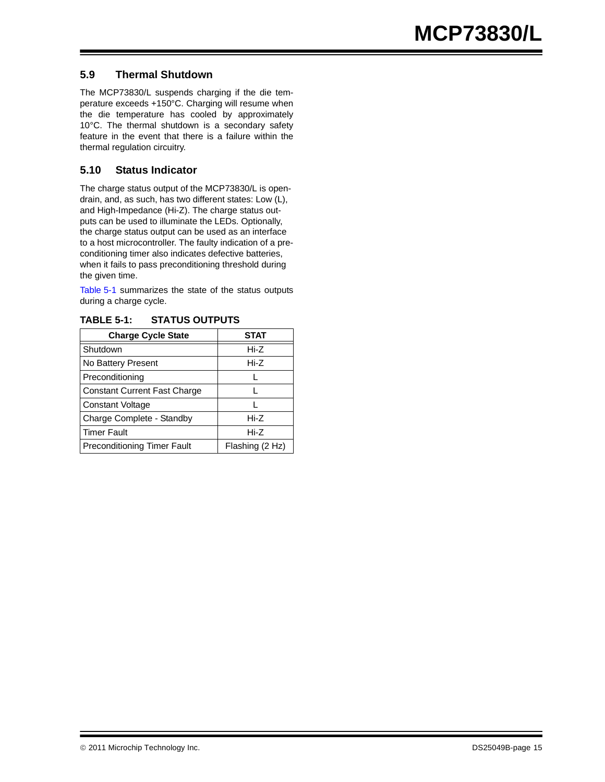#### **5.9 Thermal Shutdown**

The MCP73830/L suspends charging if the die temperature exceeds +150°C. Charging will resume when the die temperature has cooled by approximately 10°C. The thermal shutdown is a secondary safety feature in the event that there is a failure within the thermal regulation circuitry.

#### **5.10 Status Indicator**

The charge status output of the MCP73830/L is opendrain, and, as such, has two different states: Low (L), and High-Impedance (Hi-Z). The charge status outputs can be used to illuminate the LEDs. Optionally, the charge status output can be used as an interface to a host microcontroller. The faulty indication of a preconditioning timer also indicates defective batteries, when it fails to pass preconditioning threshold during the given time.

[Table 5-1](#page-14-0) summarizes the state of the status outputs during a charge cycle.

| <b>Charge Cycle State</b>           | STAT            |
|-------------------------------------|-----------------|
| Shutdown                            | Hi-Z            |
| No Battery Present                  | Hi-Z            |
| Preconditioning                     |                 |
| <b>Constant Current Fast Charge</b> |                 |
| <b>Constant Voltage</b>             |                 |
| Charge Complete - Standby           | Hi-Z            |
| <b>Timer Fault</b>                  | Hi-Z            |
| <b>Preconditioning Timer Fault</b>  | Flashing (2 Hz) |

<span id="page-14-0"></span>**TABLE 5-1: STATUS OUTPUTS**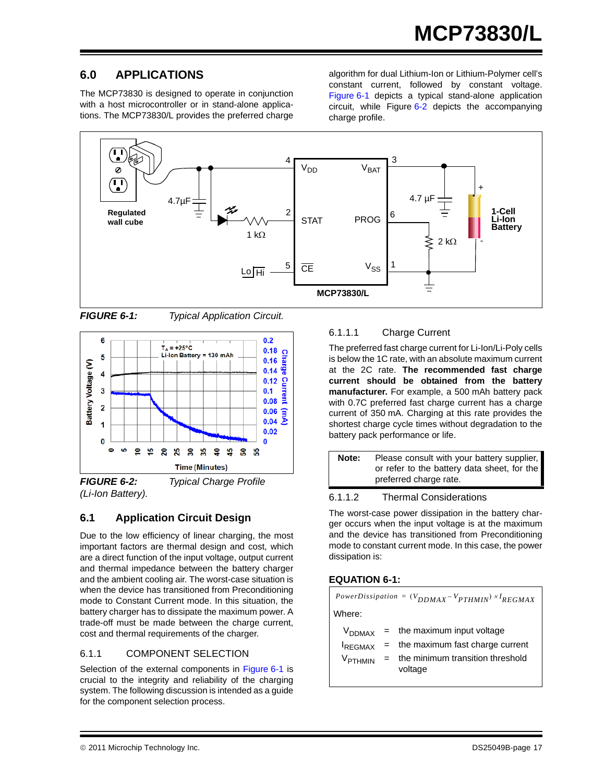# **6.0 APPLICATIONS**

The MCP73830 is designed to operate in conjunction with a host microcontroller or in stand-alone applications. The MCP73830/L provides the preferred charge algorithm for dual Lithium-Ion or Lithium-Polymer cell's constant current, followed by constant voltage. [Figure 6-1](#page-16-1) depicts a typical stand-alone application circuit, while Figure [6-2](#page-16-2) depicts the accompanying charge profile.



<span id="page-16-1"></span>*FIGURE 6-1: Typical Application Circuit.*



<span id="page-16-2"></span>*FIGURE 6-2: Typical Charge Profile (Li-Ion Battery).*

### **6.1 Application Circuit Design**

Due to the low efficiency of linear charging, the most important factors are thermal design and cost, which are a direct function of the input voltage, output current and thermal impedance between the battery charger and the ambient cooling air. The worst-case situation is when the device has transitioned from Preconditioning mode to Constant Current mode. In this situation, the battery charger has to dissipate the maximum power. A trade-off must be made between the charge current, cost and thermal requirements of the charger.

### 6.1.1 COMPONENT SELECTION

Selection of the external components in [Figure 6-1](#page-16-1) is crucial to the integrity and reliability of the charging system. The following discussion is intended as a guide for the component selection process.

### 6.1.1.1 Charge Current

The preferred fast charge current for Li-Ion/Li-Poly cells is below the 1C rate, with an absolute maximum current at the 2C rate. **The recommended fast charge current should be obtained from the battery manufacturer.** For example, a 500 mAh battery pack with 0.7C preferred fast charge current has a charge current of 350 mA. Charging at this rate provides the shortest charge cycle times without degradation to the battery pack performance or life.

| Note: | Please consult with your battery supplier,<br>or refer to the battery data sheet, for the |
|-------|-------------------------------------------------------------------------------------------|
|       | preferred charge rate.                                                                    |

#### <span id="page-16-0"></span>6.1.1.2 Thermal Considerations

The worst-case power dissipation in the battery charger occurs when the input voltage is at the maximum and the device has transitioned from Preconditioning mode to constant current mode. In this case, the power dissipation is:

#### **EQUATION 6-1:**

| PowerDissipation = $(V_{DDMAX} - V_{PTHMIN}) \times I_{REGMAX}$ |  |                                                |  |  |  |  |
|-----------------------------------------------------------------|--|------------------------------------------------|--|--|--|--|
| Where:                                                          |  |                                                |  |  |  |  |
|                                                                 |  | $V_{DDMAX}$ = the maximum input voltage        |  |  |  |  |
|                                                                 |  | $I_{REGMAX}$ = the maximum fast charge current |  |  |  |  |

 $V_{\text{PTHMIN}}$  = the minimum transition threshold voltage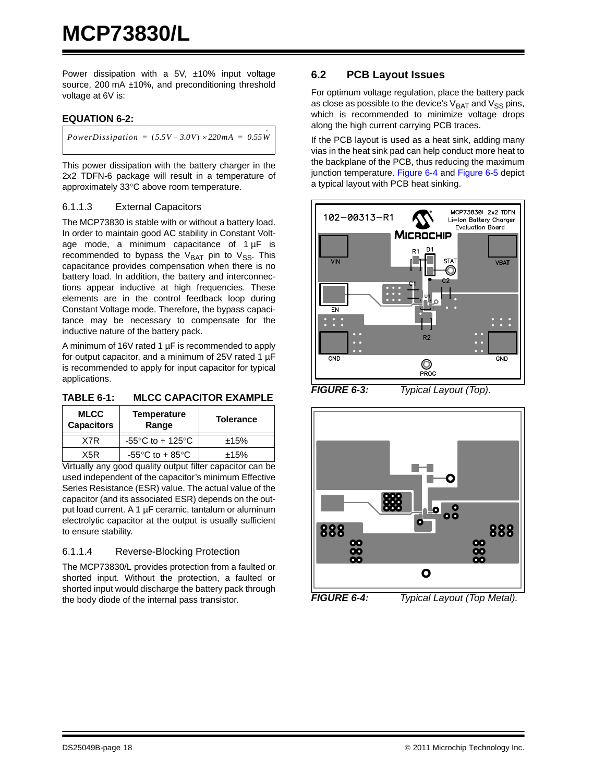Power dissipation with a  $5V$ ,  $\pm 10\%$  input voltage source, 200 mA ±10%, and preconditioning threshold voltage at 6V is:

#### **EQUATION 6-2:**

*PowerDissipation =*  $(5.5V - 3.0V) \times 220mA = 0.55W$ 

This power dissipation with the battery charger in the 2x2 TDFN-6 package will result in a temperature of approximately 33°C above room temperature.

#### 6.1.1.3 External Capacitors

The MCP73830 is stable with or without a battery load. In order to maintain good AC stability in Constant Voltage mode, a minimum capacitance of  $1 \mu F$  is recommended to bypass the  $V_{BAT}$  pin to  $V_{SS}$ . This capacitance provides compensation when there is no battery load. In addition, the battery and interconnections appear inductive at high frequencies. These elements are in the control feedback loop during Constant Voltage mode. Therefore, the bypass capacitance may be necessary to compensate for the inductive nature of the battery pack.

A minimum of 16V rated 1 µF is recommended to apply for output capacitor, and a minimum of 25V rated 1 µF is recommended to apply for input capacitor for typical applications.

#### **TABLE 6-1: MLCC CAPACITOR EXAMPLE**

| <b>MLCC</b><br><b>Capacitors</b> | <b>Temperature</b><br>Range          | <b>Tolerance</b> |
|----------------------------------|--------------------------------------|------------------|
| X7R                              | -55 $\degree$ C to + 125 $\degree$ C | ±15%             |
| X5R                              | -55 $\degree$ C to + 85 $\degree$ C  | ±15%             |
|                                  | $\cdots$<br>. .<br>$\sim$            |                  |

Virtually any good quality output filter capacitor can be used independent of the capacitor's minimum Effective Series Resistance (ESR) value. The actual value of the capacitor (and its associated ESR) depends on the output load current. A 1 µF ceramic, tantalum or aluminum electrolytic capacitor at the output is usually sufficient to ensure stability.

#### 6.1.1.4 Reverse-Blocking Protection

The MCP73830/L provides protection from a faulted or shorted input. Without the protection, a faulted or shorted input would discharge the battery pack through the body diode of the internal pass transistor.

#### **6.2 PCB Layout Issues**

For optimum voltage regulation, place the battery pack as close as possible to the device's  $V_{\text{BAT}}$  and  $V_{\text{SS}}$  pins, which is recommended to minimize voltage drops along the high current carrying PCB traces.

If the PCB layout is used as a heat sink, adding many vias in the heat sink pad can help conduct more heat to the backplane of the PCB, thus reducing the maximum junction temperature. [Figure 6-4](#page-17-0) and [Figure 6-5](#page-18-0) depict a typical layout with PCB heat sinking.



<span id="page-17-0"></span>

*FIGURE 6-3: Typical Layout (Top).*

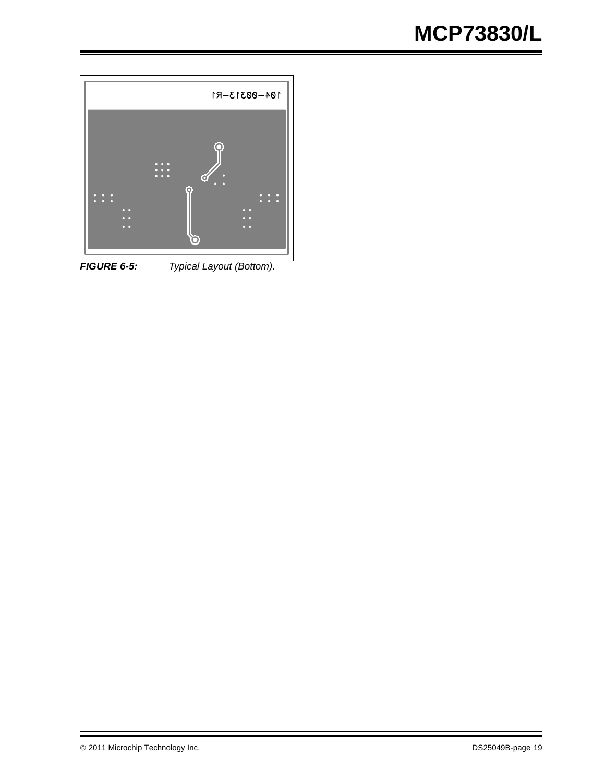

<span id="page-18-0"></span>*FIGURE 6-5: Typical Layout (Bottom).*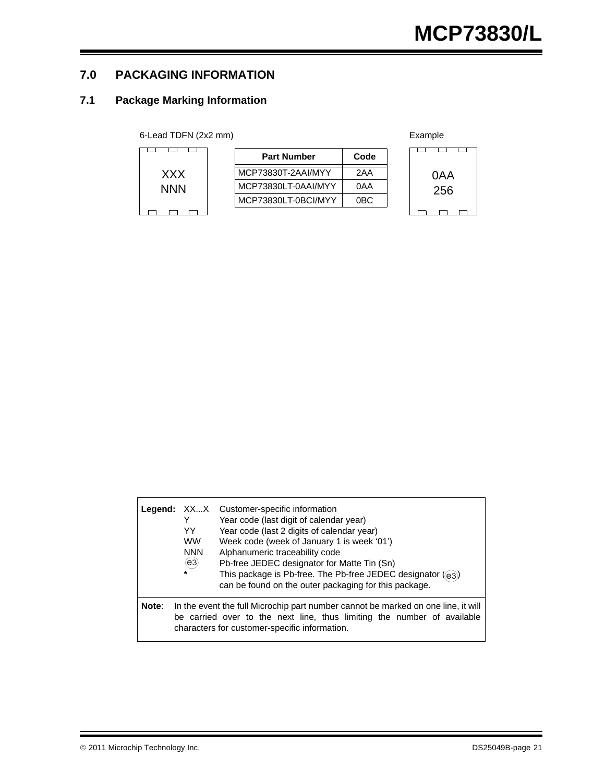### **7.0 PACKAGING INFORMATION**

### **7.1 Package Marking Information**

| 6-Lead TDFN (2x2 mm) |  |  |
|----------------------|--|--|
|----------------------|--|--|

|            | <b>Part Number</b>  | Code |
|------------|---------------------|------|
| <b>XXX</b> | MCP73830T-2AAI/MYY  | 2AA  |
| <b>NNN</b> | MCP73830LT-0AAI/MYY | 0AA  |
|            | MCP73830LT-0BCI/MYY | 0BC. |
|            |                     |      |



|       | Legend: XXX<br>Y<br>YY<br><b>WW</b><br><b>NNN</b><br>(e3)<br>$\star$ | Customer-specific information<br>Year code (last digit of calendar year)<br>Year code (last 2 digits of calendar year)<br>Week code (week of January 1 is week '01')<br>Alphanumeric traceability code<br>Pb-free JEDEC designator for Matte Tin (Sn)<br>This package is Pb-free. The Pb-free JEDEC designator ((e3))<br>can be found on the outer packaging for this package. |
|-------|----------------------------------------------------------------------|--------------------------------------------------------------------------------------------------------------------------------------------------------------------------------------------------------------------------------------------------------------------------------------------------------------------------------------------------------------------------------|
| Note: |                                                                      | In the event the full Microchip part number cannot be marked on one line, it will<br>be carried over to the next line, thus limiting the number of available<br>characters for customer-specific information.                                                                                                                                                                  |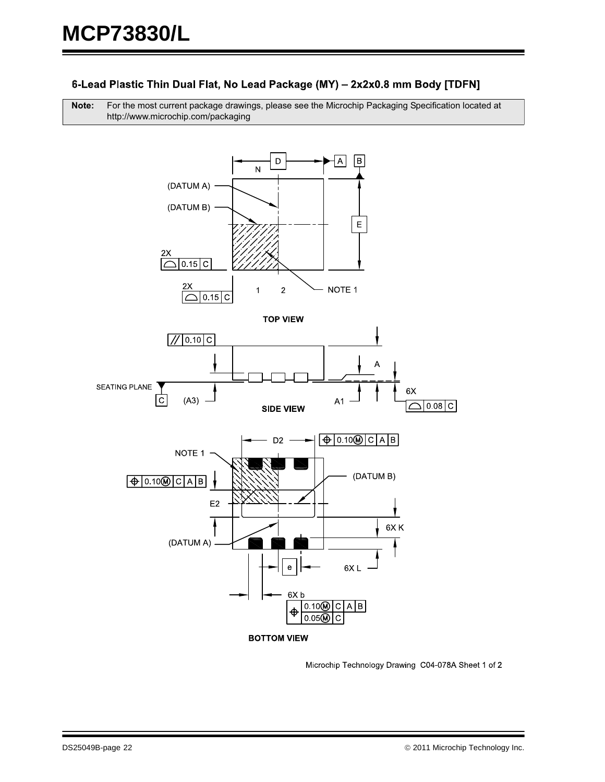#### 6-Lead Plastic Thin Dual Flat, No Lead Package (MY) - 2x2x0.8 mm Body [TDFN]

**Note:** For the most current package drawings, please see the Microchip Packaging Specification located at http://www.microchip.com/packaging



Microchip Technology Drawing C04-078A Sheet 1 of 2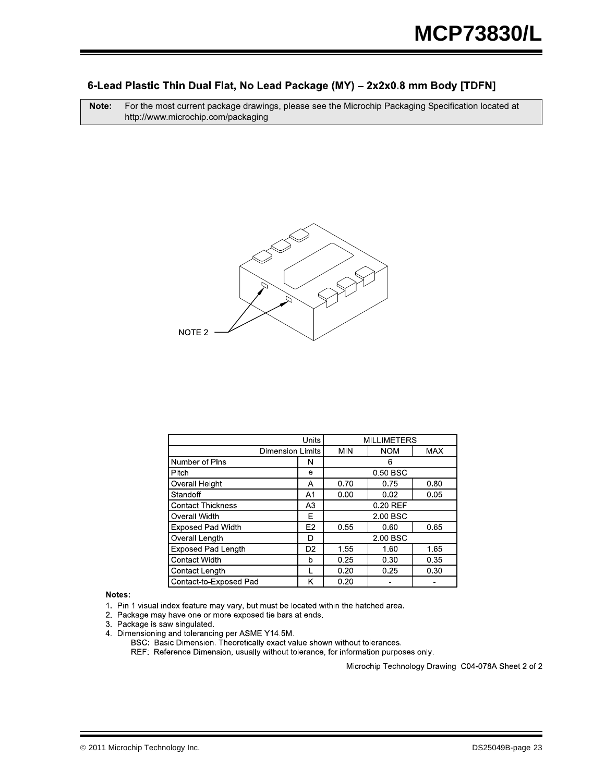#### 6-Lead Plastic Thin Dual Flat, No Lead Package (MY) - 2x2x0.8 mm Body [TDFN]

**Note:** For the most current package drawings, please see the Microchip Packaging Specification located at http://www.microchip.com/packaging



|                           | <b>MILLIMETERS</b> |            |            |      |  |
|---------------------------|--------------------|------------|------------|------|--|
| <b>Dimension Limits</b>   |                    | <b>MIN</b> | <b>NOM</b> | MAX  |  |
| Number of Pins            | N                  | 6          |            |      |  |
| Pitch                     | е                  | 0.50 BSC   |            |      |  |
| Overall Height            | A                  | 0.70       | 0.75       | 0.80 |  |
| Standoff                  | A1                 | 0.00       | 0.02       | 0.05 |  |
| <b>Contact Thickness</b>  | A <sub>3</sub>     | 0.20 REF   |            |      |  |
| Overall Width             | F                  | 2.00 BSC   |            |      |  |
| <b>Exposed Pad Width</b>  | E <sub>2</sub>     | 0.55       | 0.60       | 0.65 |  |
| Overall Length            | D                  | 2.00 BSC   |            |      |  |
| <b>Exposed Pad Length</b> | D <sub>2</sub>     | 1.55       | 1.60       | 1.65 |  |
| <b>Contact Width</b>      | b                  | 0.25       | 0.30       | 0.35 |  |
| Contact Length            |                    | 0.20       | 0.25       | 0.30 |  |
| Contact-to-Exposed Pad    | κ                  | 0.20       |            |      |  |

#### Notes:

1. Pin 1 visual index feature may vary, but must be located within the hatched area.

2. Package may have one or more exposed tie bars at ends.

3. Package is saw singulated.

4. Dimensioning and tolerancing per ASME Y14.5M.

BSC: Basic Dimension. Theoretically exact value shown without tolerances.

REF: Reference Dimension, usually without tolerance, for information purposes only.

Microchip Technology Drawing C04-078A Sheet 2 of 2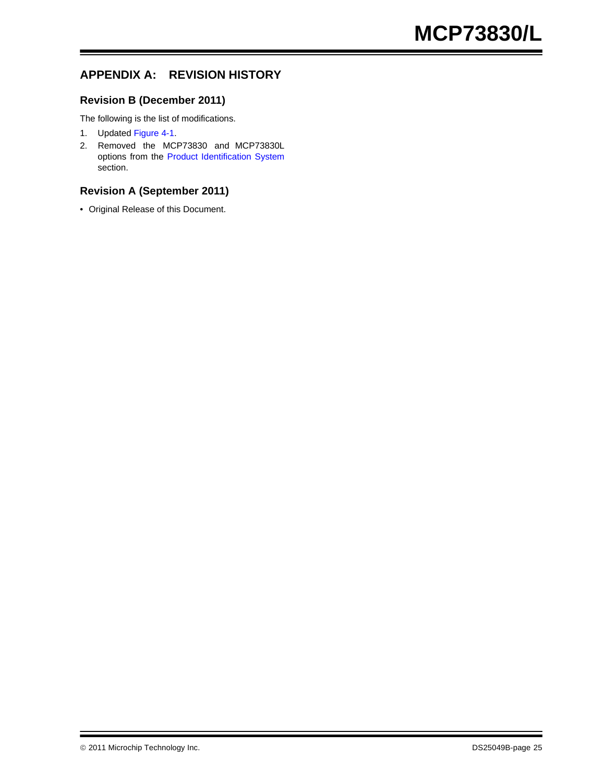# **APPENDIX A: REVISION HISTORY**

#### **Revision B (December 2011)**

The following is the list of modifications.

- 1. Updated [Figure 4-1](#page-10-1).
- 2. Removed the MCP73830 and MCP73830L options from the [Product Identification System](#page-26-0) section.

#### **Revision A (September 2011)**

• Original Release of this Document.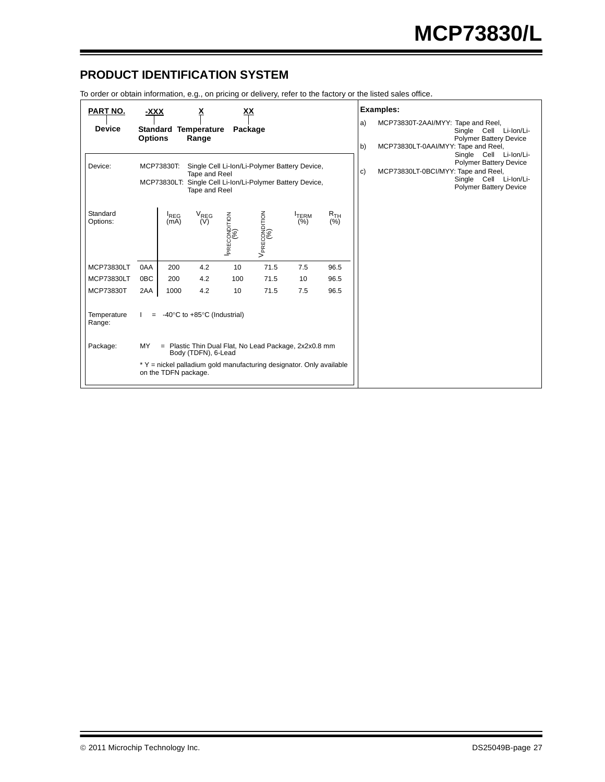### <span id="page-26-0"></span>**PRODUCT IDENTIFICATION SYSTEM**

To order or obtain information, e.g., on pricing or delivery, refer to the factory or the listed sales office.

| PART NO.                                                                                                                                                              | <u>-XXX</u>                                                                        |                             |                                                 | XХ           |                                                                      |                    |                                                                                                                                                              |          | Examples:                                                                                                                            |
|-----------------------------------------------------------------------------------------------------------------------------------------------------------------------|------------------------------------------------------------------------------------|-----------------------------|-------------------------------------------------|--------------|----------------------------------------------------------------------|--------------------|--------------------------------------------------------------------------------------------------------------------------------------------------------------|----------|--------------------------------------------------------------------------------------------------------------------------------------|
| <b>Device</b>                                                                                                                                                         | <b>Options</b>                                                                     | <b>Standard Temperature</b> | Range                                           | Package      |                                                                      |                    |                                                                                                                                                              | a)<br>b) | MCP73830T-2AAI/MYY: Tape and Reel,<br>Single Cell Li-Ion/Li-<br><b>Polymer Battery Device</b><br>MCP73830LT-0AAI/MYY: Tape and Reel, |
| Device:<br>Single Cell Li-Ion/Li-Polymer Battery Device,<br>MCP73830T:<br>Tape and Reel<br>MCP73830LT: Single Cell Li-Ion/Li-Polymer Battery Device,<br>Tape and Reel |                                                                                    |                             |                                                 |              |                                                                      | c)                 | Single Cell Li-Ion/Li-<br><b>Polymer Battery Device</b><br>MCP73830LT-0BCI/MYY: Tape and Reel,<br>Single<br>Cell Li-Ion/Li-<br><b>Polymer Battery Device</b> |          |                                                                                                                                      |
| Standard<br>Options:                                                                                                                                                  |                                                                                    | <sup>I</sup> REG<br>(mA)    | $V_{\text{REG}}$<br>(V)                         | PRECONDITION | $V_{\mathsf{PRECONDITION}}\ \ (26)$                                  | <b>TERM</b><br>(%) | R <sub>TH</sub><br>(%)                                                                                                                                       |          |                                                                                                                                      |
| MCP73830LT                                                                                                                                                            | 0AA                                                                                | 200                         | 4.2                                             | 10           | 71.5                                                                 | 7.5                | 96.5                                                                                                                                                         |          |                                                                                                                                      |
| MCP73830LT                                                                                                                                                            | 0 <sub>BC</sub>                                                                    | 200                         | 4.2                                             | 100          | 71.5                                                                 | 10                 | 96.5                                                                                                                                                         |          |                                                                                                                                      |
| MCP73830T                                                                                                                                                             | 2AA                                                                                | 1000                        | 4.2                                             | 10           | 71.5                                                                 | 7.5                | 96.5                                                                                                                                                         |          |                                                                                                                                      |
| Temperature<br>Range:                                                                                                                                                 | $=$                                                                                |                             | -40 $\degree$ C to +85 $\degree$ C (Industrial) |              |                                                                      |                    |                                                                                                                                                              |          |                                                                                                                                      |
| Package:                                                                                                                                                              | MY<br>= Plastic Thin Dual Flat, No Lead Package, 2x2x0.8 mm<br>Body (TDFN), 6-Lead |                             |                                                 |              |                                                                      |                    |                                                                                                                                                              |          |                                                                                                                                      |
|                                                                                                                                                                       |                                                                                    | on the TDFN package.        |                                                 |              | * Y = nickel palladium gold manufacturing designator. Only available |                    |                                                                                                                                                              |          |                                                                                                                                      |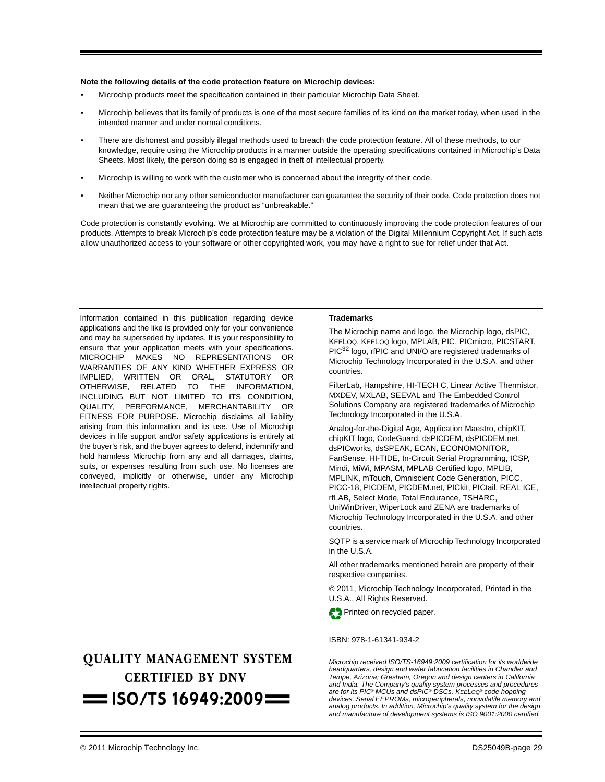#### **Note the following details of the code protection feature on Microchip devices:**

- Microchip products meet the specification contained in their particular Microchip Data Sheet.
- Microchip believes that its family of products is one of the most secure families of its kind on the market today, when used in the intended manner and under normal conditions.
- There are dishonest and possibly illegal methods used to breach the code protection feature. All of these methods, to our knowledge, require using the Microchip products in a manner outside the operating specifications contained in Microchip's Data Sheets. Most likely, the person doing so is engaged in theft of intellectual property.
- Microchip is willing to work with the customer who is concerned about the integrity of their code.
- Neither Microchip nor any other semiconductor manufacturer can guarantee the security of their code. Code protection does not mean that we are guaranteeing the product as "unbreakable."

Code protection is constantly evolving. We at Microchip are committed to continuously improving the code protection features of our products. Attempts to break Microchip's code protection feature may be a violation of the Digital Millennium Copyright Act. If such acts allow unauthorized access to your software or other copyrighted work, you may have a right to sue for relief under that Act.

Information contained in this publication regarding device applications and the like is provided only for your convenience and may be superseded by updates. It is your responsibility to ensure that your application meets with your specifications. MICROCHIP MAKES NO REPRESENTATIONS OR WARRANTIES OF ANY KIND WHETHER EXPRESS OR IMPLIED, WRITTEN OR ORAL, STATUTORY OR OTHERWISE, RELATED TO THE INFORMATION, INCLUDING BUT NOT LIMITED TO ITS CONDITION, QUALITY, PERFORMANCE, MERCHANTABILITY OR FITNESS FOR PURPOSE**.** Microchip disclaims all liability arising from this information and its use. Use of Microchip devices in life support and/or safety applications is entirely at the buyer's risk, and the buyer agrees to defend, indemnify and hold harmless Microchip from any and all damages, claims, suits, or expenses resulting from such use. No licenses are conveyed, implicitly or otherwise, under any Microchip intellectual property rights.

# **OUALITY MANAGEMENT SYSTEM CERTIFIED BY DNV**  $=$  ISO/TS 16949:2009 $=$

#### **Trademarks**

The Microchip name and logo, the Microchip logo, dsPIC, KEELOQ, KEELOQ logo, MPLAB, PIC, PICmicro, PICSTART, PIC<sup>32</sup> logo, rfPIC and UNI/O are registered trademarks of Microchip Technology Incorporated in the U.S.A. and other countries.

FilterLab, Hampshire, HI-TECH C, Linear Active Thermistor, MXDEV, MXLAB, SEEVAL and The Embedded Control Solutions Company are registered trademarks of Microchip Technology Incorporated in the U.S.A.

Analog-for-the-Digital Age, Application Maestro, chipKIT, chipKIT logo, CodeGuard, dsPICDEM, dsPICDEM.net, dsPICworks, dsSPEAK, ECAN, ECONOMONITOR, FanSense, HI-TIDE, In-Circuit Serial Programming, ICSP, Mindi, MiWi, MPASM, MPLAB Certified logo, MPLIB, MPLINK, mTouch, Omniscient Code Generation, PICC, PICC-18, PICDEM, PICDEM.net, PICkit, PICtail, REAL ICE, rfLAB, Select Mode, Total Endurance, TSHARC, UniWinDriver, WiperLock and ZENA are trademarks of Microchip Technology Incorporated in the U.S.A. and other countries.

SQTP is a service mark of Microchip Technology Incorporated in the U.S.A.

All other trademarks mentioned herein are property of their respective companies.

© 2011, Microchip Technology Incorporated, Printed in the U.S.A., All Rights Reserved.



#### ISBN: 978-1-61341-934-2

*Microchip received ISO/TS-16949:2009 certification for its worldwide headquarters, design and wafer fabrication facilities in Chandler and Tempe, Arizona; Gresham, Oregon and design centers in California and India. The Company's quality system processes and procedures are for its PIC® MCUs and dsPIC® DSCs, KEELOQ® code hopping devices, Serial EEPROMs, microperipherals, nonvolatile memory and analog products. In addition, Microchip's quality system for the design and manufacture of development systems is ISO 9001:2000 certified.*